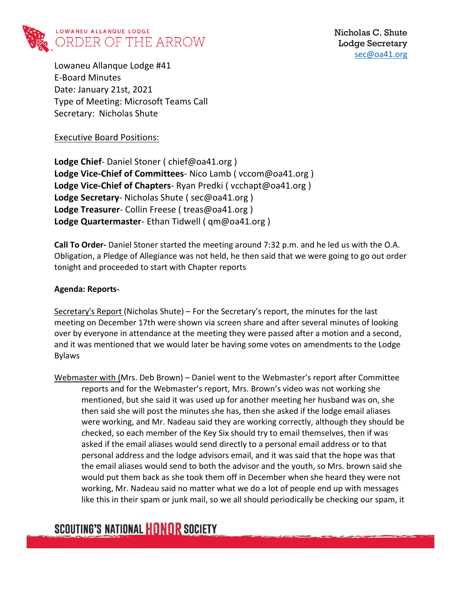

Lowaneu Allanque Lodge #41 E-Board Minutes Date: January 21st, 2021 Type of Meeting: Microsoft Teams Call Secretary: Nicholas Shute

Executive Board Positions:

**Lodge Chief**- Daniel Stoner ( chief@oa41.org ) **Lodge Vice-Chief of Committees**- Nico Lamb ( vccom@oa41.org ) **Lodge Vice-Chief of Chapters**- Ryan Predki ( vcchapt@oa41.org ) **Lodge Secretary**- Nicholas Shute ( sec@oa41.org ) **Lodge Treasurer**- Collin Freese ( treas@oa41.org ) **Lodge Quartermaster**- Ethan Tidwell ( qm@oa41.org )

**Call To Order-** Daniel Stoner started the meeting around 7:32 p.m. and he led us with the O.A. Obligation, a Pledge of Allegiance was not held, he then said that we were going to go out order tonight and proceeded to start with Chapter reports

#### **Agenda: Reports-**

Secretary's Report (Nicholas Shute) – For the Secretary's report, the minutes for the last meeting on December 17th were shown via screen share and after several minutes of looking over by everyone in attendance at the meeting they were passed after a motion and a second, and it was mentioned that we would later be having some votes on amendments to the Lodge Bylaws

Webmaster with (Mrs. Deb Brown) – Daniel went to the Webmaster's report after Committee reports and for the Webmaster's report, Mrs. Brown's video was not working she mentioned, but she said it was used up for another meeting her husband was on, she then said she will post the minutes she has, then she asked if the lodge email aliases were working, and Mr. Nadeau said they are working correctly, although they should be checked, so each member of the Key Six should try to email themselves, then if was asked if the email aliases would send directly to a personal email address or to that personal address and the lodge advisors email, and it was said that the hope was that the email aliases would send to both the advisor and the youth, so Mrs. brown said she would put them back as she took them off in December when she heard they were not working, Mr. Nadeau said no matter what we do a lot of people end up with messages like this in their spam or junk mail, so we all should periodically be checking our spam, it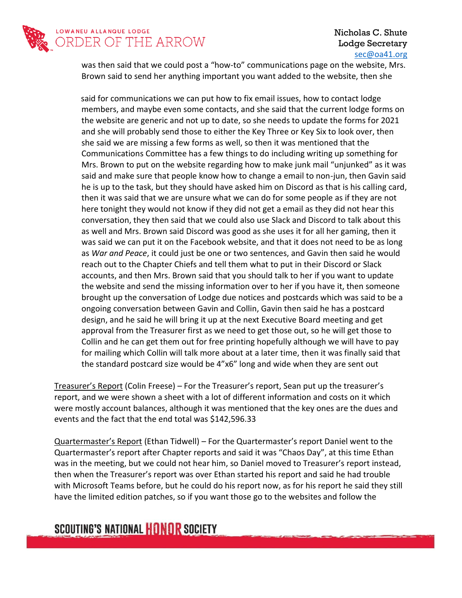

### Nicholas C. Shute Lodge Secretary [sec@oa41.org](mailto:sec@oa41.org)

was then said that we could post a "how-to" communications page on the website, Mrs. Brown said to send her anything important you want added to the website, then she

 said for communications we can put how to fix email issues, how to contact lodge members, and maybe even some contacts, and she said that the current lodge forms on the website are generic and not up to date, so she needs to update the forms for 2021 and she will probably send those to either the Key Three or Key Six to look over, then she said we are missing a few forms as well, so then it was mentioned that the Communications Committee has a few things to do including writing up something for Mrs. Brown to put on the website regarding how to make junk mail "unjunked" as it was said and make sure that people know how to change a email to non-jun, then Gavin said he is up to the task, but they should have asked him on Discord as that is his calling card, then it was said that we are unsure what we can do for some people as if they are not here tonight they would not know if they did not get a email as they did not hear this conversation, they then said that we could also use Slack and Discord to talk about this as well and Mrs. Brown said Discord was good as she uses it for all her gaming, then it was said we can put it on the Facebook website, and that it does not need to be as long as *War and Peace*, it could just be one or two sentences, and Gavin then said he would reach out to the Chapter Chiefs and tell them what to put in their Discord or Slack accounts, and then Mrs. Brown said that you should talk to her if you want to update the website and send the missing information over to her if you have it, then someone brought up the conversation of Lodge due notices and postcards which was said to be a ongoing conversation between Gavin and Collin, Gavin then said he has a postcard design, and he said he will bring it up at the next Executive Board meeting and get approval from the Treasurer first as we need to get those out, so he will get those to Collin and he can get them out for free printing hopefully although we will have to pay for mailing which Collin will talk more about at a later time, then it was finally said that the standard postcard size would be 4"x6" long and wide when they are sent out

Treasurer's Report (Colin Freese) – For the Treasurer's report, Sean put up the treasurer's report, and we were shown a sheet with a lot of different information and costs on it which were mostly account balances, although it was mentioned that the key ones are the dues and events and the fact that the end total was \$142,596.33

Quartermaster's Report (Ethan Tidwell) – For the Quartermaster's report Daniel went to the Quartermaster's report after Chapter reports and said it was "Chaos Day", at this time Ethan was in the meeting, but we could not hear him, so Daniel moved to Treasurer's report instead, then when the Treasurer's report was over Ethan started his report and said he had trouble with Microsoft Teams before, but he could do his report now, as for his report he said they still have the limited edition patches, so if you want those go to the websites and follow the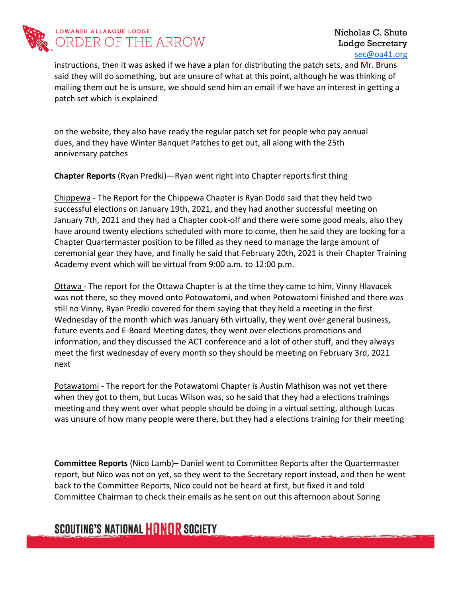

instructions, then it was asked if we have a plan for distributing the patch sets, and Mr. Bruns said they will do something, but are unsure of what at this point, although he was thinking of mailing them out he is unsure, we should send him an email if we have an interest in getting a patch set which is explained

on the website, they also have ready the regular patch set for people who pay annual dues, and they have Winter Banquet Patches to get out, all along with the 25th anniversary patches

**Chapter Reports** (Ryan Predki)—Ryan went right into Chapter reports first thing

Chippewa - The Report for the Chippewa Chapter is Ryan Dodd said that they held two successful elections on January 19th, 2021, and they had another successful meeting on January 7th, 2021 and they had a Chapter cook-off and there were some good meals, also they have around twenty elections scheduled with more to come, then he said they are looking for a Chapter Quartermaster position to be filled as they need to manage the large amount of ceremonial gear they have, and finally he said that February 20th, 2021 is their Chapter Training Academy event which will be virtual from 9:00 a.m. to 12:00 p.m.

Ottawa - The report for the Ottawa Chapter is at the time they came to him, Vinny Hlavacek was not there, so they moved onto Potowatomi, and when Potowatomi finished and there was still no Vinny, Ryan Predki covered for them saying that they held a meeting in the first Wednesday of the month which was January 6th virtually, they went over general business, future events and E-Board Meeting dates, they went over elections promotions and information, and they discussed the ACT conference and a lot of other stuff, and they always meet the first wednesday of every month so they should be meeting on February 3rd, 2021 next

Potawatomi - The report for the Potawatomi Chapter is Austin Mathison was not yet there when they got to them, but Lucas Wilson was, so he said that they had a elections trainings meeting and they went over what people should be doing in a virtual setting, although Lucas was unsure of how many people were there, but they had a elections training for their meeting

**Committee Reports** (Nico Lamb)– Daniel went to Committee Reports after the Quartermaster report, but Nico was not on yet, so they went to the Secretary report instead, and then he went back to the Committee Reports, Nico could not be heard at first, but fixed it and told Committee Chairman to check their emails as he sent on out this afternoon about Spring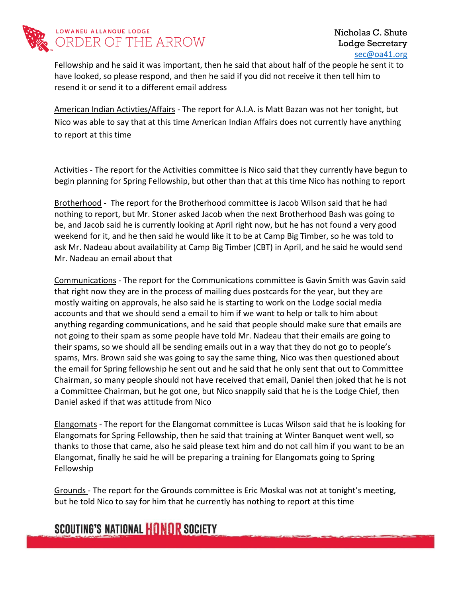

Fellowship and he said it was important, then he said that about half of the people he sent it to have looked, so please respond, and then he said if you did not receive it then tell him to resend it or send it to a different email address

American Indian Activties/Affairs - The report for A.I.A. is Matt Bazan was not her tonight, but Nico was able to say that at this time American Indian Affairs does not currently have anything to report at this time

Activities - The report for the Activities committee is Nico said that they currently have begun to begin planning for Spring Fellowship, but other than that at this time Nico has nothing to report

Brotherhood - The report for the Brotherhood committee is Jacob Wilson said that he had nothing to report, but Mr. Stoner asked Jacob when the next Brotherhood Bash was going to be, and Jacob said he is currently looking at April right now, but he has not found a very good weekend for it, and he then said he would like it to be at Camp Big Timber, so he was told to ask Mr. Nadeau about availability at Camp Big Timber (CBT) in April, and he said he would send Mr. Nadeau an email about that

Communications - The report for the Communications committee is Gavin Smith was Gavin said that right now they are in the process of mailing dues postcards for the year, but they are mostly waiting on approvals, he also said he is starting to work on the Lodge social media accounts and that we should send a email to him if we want to help or talk to him about anything regarding communications, and he said that people should make sure that emails are not going to their spam as some people have told Mr. Nadeau that their emails are going to their spams, so we should all be sending emails out in a way that they do not go to people's spams, Mrs. Brown said she was going to say the same thing, Nico was then questioned about the email for Spring fellowship he sent out and he said that he only sent that out to Committee Chairman, so many people should not have received that email, Daniel then joked that he is not a Committee Chairman, but he got one, but Nico snappily said that he is the Lodge Chief, then Daniel asked if that was attitude from Nico

Elangomats - The report for the Elangomat committee is Lucas Wilson said that he is looking for Elangomats for Spring Fellowship, then he said that training at Winter Banquet went well, so thanks to those that came, also he said please text him and do not call him if you want to be an Elangomat, finally he said he will be preparing a training for Elangomats going to Spring Fellowship

Grounds - The report for the Grounds committee is Eric Moskal was not at tonight's meeting, but he told Nico to say for him that he currently has nothing to report at this time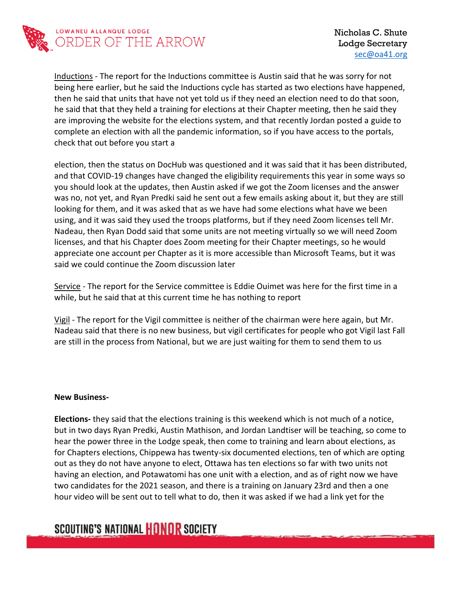

Inductions - The report for the Inductions committee is Austin said that he was sorry for not being here earlier, but he said the Inductions cycle has started as two elections have happened, then he said that units that have not yet told us if they need an election need to do that soon, he said that that they held a training for elections at their Chapter meeting, then he said they are improving the website for the elections system, and that recently Jordan posted a guide to complete an election with all the pandemic information, so if you have access to the portals, check that out before you start a

election, then the status on DocHub was questioned and it was said that it has been distributed, and that COVID-19 changes have changed the eligibility requirements this year in some ways so you should look at the updates, then Austin asked if we got the Zoom licenses and the answer was no, not yet, and Ryan Predki said he sent out a few emails asking about it, but they are still looking for them, and it was asked that as we have had some elections what have we been using, and it was said they used the troops platforms, but if they need Zoom licenses tell Mr. Nadeau, then Ryan Dodd said that some units are not meeting virtually so we will need Zoom licenses, and that his Chapter does Zoom meeting for their Chapter meetings, so he would appreciate one account per Chapter as it is more accessible than Microsoft Teams, but it was said we could continue the Zoom discussion later

Service - The report for the Service committee is Eddie Ouimet was here for the first time in a while, but he said that at this current time he has nothing to report

Vigil - The report for the Vigil committee is neither of the chairman were here again, but Mr. Nadeau said that there is no new business, but vigil certificates for people who got Vigil last Fall are still in the process from National, but we are just waiting for them to send them to us

#### **New Business-**

**Elections-** they said that the elections training is this weekend which is not much of a notice, but in two days Ryan Predki, Austin Mathison, and Jordan Landtiser will be teaching, so come to hear the power three in the Lodge speak, then come to training and learn about elections, as for Chapters elections, Chippewa has twenty-six documented elections, ten of which are opting out as they do not have anyone to elect, Ottawa has ten elections so far with two units not having an election, and Potawatomi has one unit with a election, and as of right now we have two candidates for the 2021 season, and there is a training on January 23rd and then a one hour video will be sent out to tell what to do, then it was asked if we had a link yet for the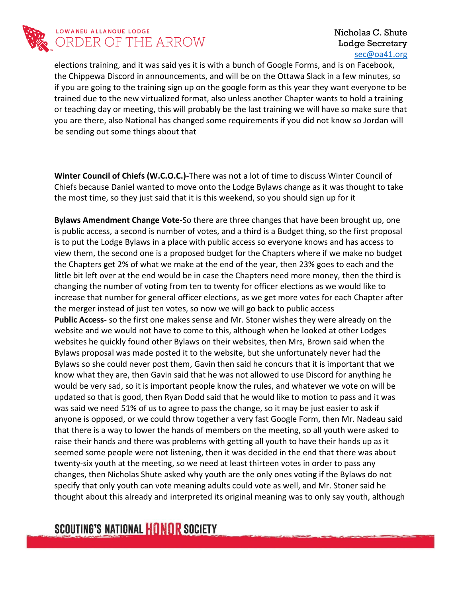

### LOWANEU ALLANQUE LODGE ORDER OF THE ARROW

### Nicholas C. Shute Lodge Secretary [sec@oa41.org](mailto:sec@oa41.org)

elections training, and it was said yes it is with a bunch of Google Forms, and is on Facebook, the Chippewa Discord in announcements, and will be on the Ottawa Slack in a few minutes, so if you are going to the training sign up on the google form as this year they want everyone to be trained due to the new virtualized format, also unless another Chapter wants to hold a training or teaching day or meeting, this will probably be the last training we will have so make sure that you are there, also National has changed some requirements if you did not know so Jordan will be sending out some things about that

**Winter Council of Chiefs (W.C.O.C.)-**There was not a lot of time to discuss Winter Council of Chiefs because Daniel wanted to move onto the Lodge Bylaws change as it was thought to take the most time, so they just said that it is this weekend, so you should sign up for it

**Bylaws Amendment Change Vote-**So there are three changes that have been brought up, one is public access, a second is number of votes, and a third is a Budget thing, so the first proposal is to put the Lodge Bylaws in a place with public access so everyone knows and has access to view them, the second one is a proposed budget for the Chapters where if we make no budget the Chapters get 2% of what we make at the end of the year, then 23% goes to each and the little bit left over at the end would be in case the Chapters need more money, then the third is changing the number of voting from ten to twenty for officer elections as we would like to increase that number for general officer elections, as we get more votes for each Chapter after the merger instead of just ten votes, so now we will go back to public access **Public Access-** so the first one makes sense and Mr. Stoner wishes they were already on the website and we would not have to come to this, although when he looked at other Lodges websites he quickly found other Bylaws on their websites, then Mrs, Brown said when the Bylaws proposal was made posted it to the website, but she unfortunately never had the Bylaws so she could never post them, Gavin then said he concurs that it is important that we know what they are, then Gavin said that he was not allowed to use Discord for anything he would be very sad, so it is important people know the rules, and whatever we vote on will be updated so that is good, then Ryan Dodd said that he would like to motion to pass and it was was said we need 51% of us to agree to pass the change, so it may be just easier to ask if anyone is opposed, or we could throw together a very fast Google Form, then Mr. Nadeau said that there is a way to lower the hands of members on the meeting, so all youth were asked to raise their hands and there was problems with getting all youth to have their hands up as it seemed some people were not listening, then it was decided in the end that there was about twenty-six youth at the meeting, so we need at least thirteen votes in order to pass any changes, then Nicholas Shute asked why youth are the only ones voting if the Bylaws do not specify that only youth can vote meaning adults could vote as well, and Mr. Stoner said he thought about this already and interpreted its original meaning was to only say youth, although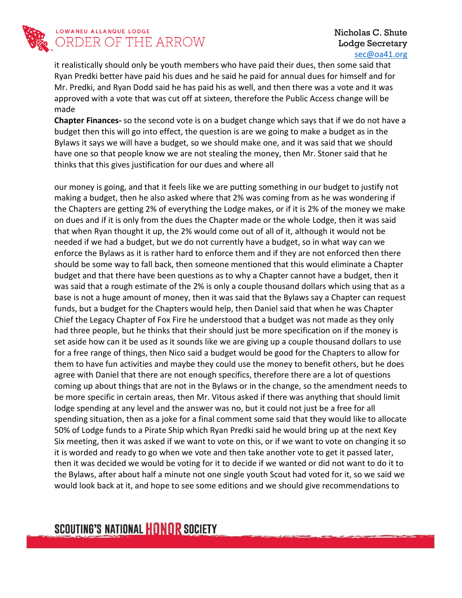

### LOWANEU ALLANQUE LODGE ORDER OF THE ARROW

### Nicholas C. Shute Lodge Secretary [sec@oa41.org](mailto:sec@oa41.org)

it realistically should only be youth members who have paid their dues, then some said that Ryan Predki better have paid his dues and he said he paid for annual dues for himself and for Mr. Predki, and Ryan Dodd said he has paid his as well, and then there was a vote and it was approved with a vote that was cut off at sixteen, therefore the Public Access change will be made

**Chapter Finances-** so the second vote is on a budget change which says that if we do not have a budget then this will go into effect, the question is are we going to make a budget as in the Bylaws it says we will have a budget, so we should make one, and it was said that we should have one so that people know we are not stealing the money, then Mr. Stoner said that he thinks that this gives justification for our dues and where all

our money is going, and that it feels like we are putting something in our budget to justify not making a budget, then he also asked where that 2% was coming from as he was wondering if the Chapters are getting 2% of everything the Lodge makes, or if it is 2% of the money we make on dues and if it is only from the dues the Chapter made or the whole Lodge, then it was said that when Ryan thought it up, the 2% would come out of all of it, although it would not be needed if we had a budget, but we do not currently have a budget, so in what way can we enforce the Bylaws as it is rather hard to enforce them and if they are not enforced then there should be some way to fall back, then someone mentioned that this would eliminate a Chapter budget and that there have been questions as to why a Chapter cannot have a budget, then it was said that a rough estimate of the 2% is only a couple thousand dollars which using that as a base is not a huge amount of money, then it was said that the Bylaws say a Chapter can request funds, but a budget for the Chapters would help, then Daniel said that when he was Chapter Chief the Legacy Chapter of Fox Fire he understood that a budget was not made as they only had three people, but he thinks that their should just be more specification on if the money is set aside how can it be used as it sounds like we are giving up a couple thousand dollars to use for a free range of things, then Nico said a budget would be good for the Chapters to allow for them to have fun activities and maybe they could use the money to benefit others, but he does agree with Daniel that there are not enough specifics, therefore there are a lot of questions coming up about things that are not in the Bylaws or in the change, so the amendment needs to be more specific in certain areas, then Mr. Vitous asked if there was anything that should limit lodge spending at any level and the answer was no, but it could not just be a free for all spending situation, then as a joke for a final comment some said that they would like to allocate 50% of Lodge funds to a Pirate Ship which Ryan Predki said he would bring up at the next Key Six meeting, then it was asked if we want to vote on this, or if we want to vote on changing it so it is worded and ready to go when we vote and then take another vote to get it passed later, then it was decided we would be voting for it to decide if we wanted or did not want to do it to the Bylaws, after about half a minute not one single youth Scout had voted for it, so we said we would look back at it, and hope to see some editions and we should give recommendations to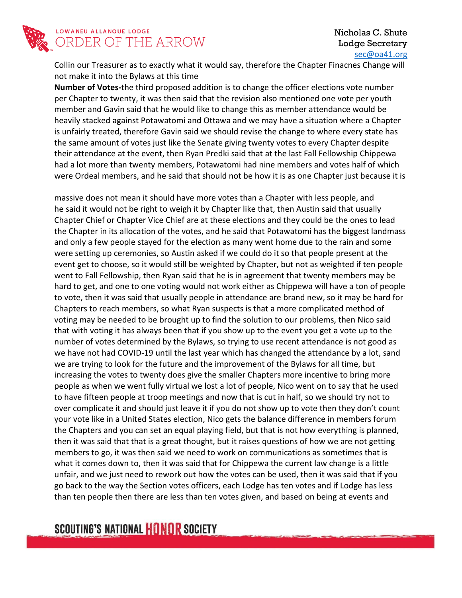

#### Nicholas C. Shute Lodge Secretary [sec@oa41.org](mailto:sec@oa41.org)

Collin our Treasurer as to exactly what it would say, therefore the Chapter Finacnes Change will not make it into the Bylaws at this time

**Number of Votes-**the third proposed addition is to change the officer elections vote number per Chapter to twenty, it was then said that the revision also mentioned one vote per youth member and Gavin said that he would like to change this as member attendance would be heavily stacked against Potawatomi and Ottawa and we may have a situation where a Chapter is unfairly treated, therefore Gavin said we should revise the change to where every state has the same amount of votes just like the Senate giving twenty votes to every Chapter despite their attendance at the event, then Ryan Predki said that at the last Fall Fellowship Chippewa had a lot more than twenty members, Potawatomi had nine members and votes half of which were Ordeal members, and he said that should not be how it is as one Chapter just because it is

massive does not mean it should have more votes than a Chapter with less people, and he said it would not be right to weigh it by Chapter like that, then Austin said that usually Chapter Chief or Chapter Vice Chief are at these elections and they could be the ones to lead the Chapter in its allocation of the votes, and he said that Potawatomi has the biggest landmass and only a few people stayed for the election as many went home due to the rain and some were setting up ceremonies, so Austin asked if we could do it so that people present at the event get to choose, so it would still be weighted by Chapter, but not as weighted if ten people went to Fall Fellowship, then Ryan said that he is in agreement that twenty members may be hard to get, and one to one voting would not work either as Chippewa will have a ton of people to vote, then it was said that usually people in attendance are brand new, so it may be hard for Chapters to reach members, so what Ryan suspects is that a more complicated method of voting may be needed to be brought up to find the solution to our problems, then Nico said that with voting it has always been that if you show up to the event you get a vote up to the number of votes determined by the Bylaws, so trying to use recent attendance is not good as we have not had COVID-19 until the last year which has changed the attendance by a lot, sand we are trying to look for the future and the improvement of the Bylaws for all time, but increasing the votes to twenty does give the smaller Chapters more incentive to bring more people as when we went fully virtual we lost a lot of people, Nico went on to say that he used to have fifteen people at troop meetings and now that is cut in half, so we should try not to over complicate it and should just leave it if you do not show up to vote then they don't count your vote like in a United States election, Nico gets the balance difference in members forum the Chapters and you can set an equal playing field, but that is not how everything is planned, then it was said that that is a great thought, but it raises questions of how we are not getting members to go, it was then said we need to work on communications as sometimes that is what it comes down to, then it was said that for Chippewa the current law change is a little unfair, and we just need to rework out how the votes can be used, then it was said that if you go back to the way the Section votes officers, each Lodge has ten votes and if Lodge has less than ten people then there are less than ten votes given, and based on being at events and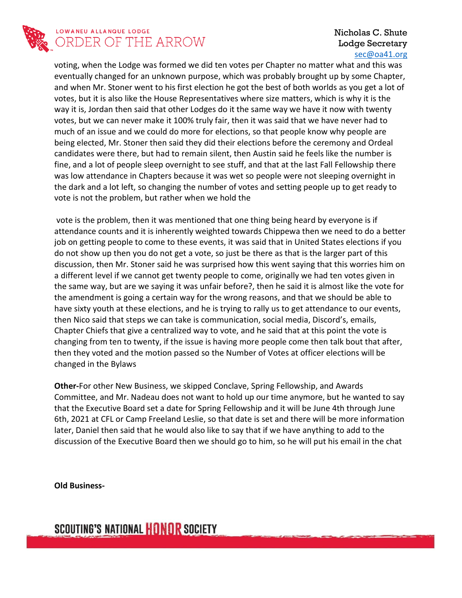

### LOWANEU ALLANQUE LODGE ORDER OF THE ARROW

### Nicholas C. Shute Lodge Secretary [sec@oa41.org](mailto:sec@oa41.org)

voting, when the Lodge was formed we did ten votes per Chapter no matter what and this was eventually changed for an unknown purpose, which was probably brought up by some Chapter, and when Mr. Stoner went to his first election he got the best of both worlds as you get a lot of votes, but it is also like the House Representatives where size matters, which is why it is the way it is, Jordan then said that other Lodges do it the same way we have it now with twenty votes, but we can never make it 100% truly fair, then it was said that we have never had to much of an issue and we could do more for elections, so that people know why people are being elected, Mr. Stoner then said they did their elections before the ceremony and Ordeal candidates were there, but had to remain silent, then Austin said he feels like the number is fine, and a lot of people sleep overnight to see stuff, and that at the last Fall Fellowship there was low attendance in Chapters because it was wet so people were not sleeping overnight in the dark and a lot left, so changing the number of votes and setting people up to get ready to vote is not the problem, but rather when we hold the

vote is the problem, then it was mentioned that one thing being heard by everyone is if attendance counts and it is inherently weighted towards Chippewa then we need to do a better job on getting people to come to these events, it was said that in United States elections if you do not show up then you do not get a vote, so just be there as that is the larger part of this discussion, then Mr. Stoner said he was surprised how this went saying that this worries him on a different level if we cannot get twenty people to come, originally we had ten votes given in the same way, but are we saying it was unfair before?, then he said it is almost like the vote for the amendment is going a certain way for the wrong reasons, and that we should be able to have sixty youth at these elections, and he is trying to rally us to get attendance to our events, then Nico said that steps we can take is communication, social media, Discord's, emails, Chapter Chiefs that give a centralized way to vote, and he said that at this point the vote is changing from ten to twenty, if the issue is having more people come then talk bout that after, then they voted and the motion passed so the Number of Votes at officer elections will be changed in the Bylaws

**Other-**For other New Business, we skipped Conclave, Spring Fellowship, and Awards Committee, and Mr. Nadeau does not want to hold up our time anymore, but he wanted to say that the Executive Board set a date for Spring Fellowship and it will be June 4th through June 6th, 2021 at CFL or Camp Freeland Leslie, so that date is set and there will be more information later, Daniel then said that he would also like to say that if we have anything to add to the discussion of the Executive Board then we should go to him, so he will put his email in the chat

**Old Business-**